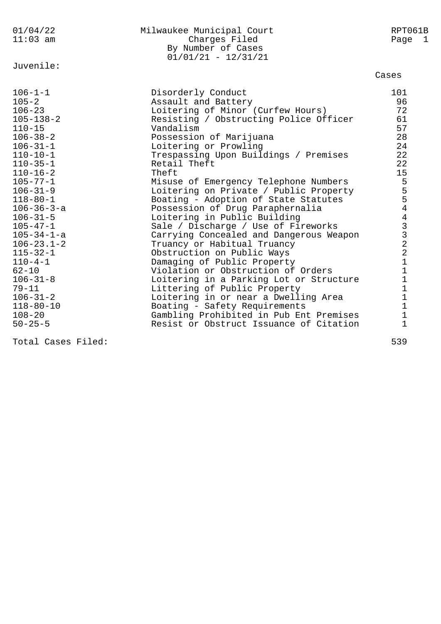| 01/04/22<br>$11:03$ am                                                                                                                                                                                                                          | Milwaukee Municipal Court<br>Charges Filed<br>By Number of Cases<br>$01/01/21 - 12/31/21$                                                                                                                                                                                                                                                                                                                                  | RPT061B<br>Page 1                                                                    |
|-------------------------------------------------------------------------------------------------------------------------------------------------------------------------------------------------------------------------------------------------|----------------------------------------------------------------------------------------------------------------------------------------------------------------------------------------------------------------------------------------------------------------------------------------------------------------------------------------------------------------------------------------------------------------------------|--------------------------------------------------------------------------------------|
| Juvenile:                                                                                                                                                                                                                                       |                                                                                                                                                                                                                                                                                                                                                                                                                            | Cases                                                                                |
| $106 - 1 - 1$<br>$105 - 2$<br>$106 - 23$<br>$105 - 138 - 2$<br>$110 - 15$<br>$106 - 38 - 2$<br>$106 - 31 - 1$<br>$110 - 10 - 1$<br>$110 - 35 - 1$<br>$110 - 16 - 2$<br>$105 - 77 - 1$<br>$106 - 31 - 9$<br>$118 - 80 - 1$<br>$106 - 36 - 3 - a$ | Disorderly Conduct<br>Assault and Battery<br>Loitering of Minor (Curfew Hours)<br>Resisting / Obstructing Police Officer<br>Vandalism<br>Possession of Marijuana<br>Loitering or Prowling<br>Trespassing Upon Buildings / Premises<br>Retail Theft<br>Theft<br>Misuse of Emergency Telephone Numbers<br>Loitering on Private / Public Property<br>Boating - Adoption of State Statutes<br>Possession of Drug Paraphernalia | 101<br>96<br>72<br>61<br>57<br>28<br>24<br>22<br>22<br>15<br>5<br>5<br>$\frac{5}{4}$ |
| $106 - 31 - 5$                                                                                                                                                                                                                                  | Loitering in Public Building                                                                                                                                                                                                                                                                                                                                                                                               | $\overline{4}$                                                                       |
| $105 - 47 - 1$<br>$105 - 34 - 1 - a$                                                                                                                                                                                                            | Sale / Discharge / Use of Fireworks<br>Carrying Concealed and Dangerous Weapon                                                                                                                                                                                                                                                                                                                                             |                                                                                      |
| $106 - 23.1 - 2$                                                                                                                                                                                                                                | Truancy or Habitual Truancy                                                                                                                                                                                                                                                                                                                                                                                                | $\begin{array}{c} 3 \\ 3 \\ 2 \\ 2 \end{array}$                                      |
| $115 - 32 - 1$<br>$110 - 4 - 1$                                                                                                                                                                                                                 | Obstruction on Public Ways<br>Damaging of Public Property                                                                                                                                                                                                                                                                                                                                                                  | $\mathbf{1}$                                                                         |
| $62 - 10$                                                                                                                                                                                                                                       | Violation or Obstruction of Orders                                                                                                                                                                                                                                                                                                                                                                                         | $\mathbf 1$                                                                          |
| $106 - 31 - 8$                                                                                                                                                                                                                                  | Loitering in a Parking Lot or Structure                                                                                                                                                                                                                                                                                                                                                                                    | $\mathbf 1$                                                                          |
| $79 - 11$                                                                                                                                                                                                                                       | Littering of Public Property                                                                                                                                                                                                                                                                                                                                                                                               | $1\,$                                                                                |
| $106 - 31 - 2$                                                                                                                                                                                                                                  | Loitering in or near a Dwelling Area                                                                                                                                                                                                                                                                                                                                                                                       | $\mathbf 1$                                                                          |
| $118 - 80 - 10$                                                                                                                                                                                                                                 | Boating - Safety Requirements                                                                                                                                                                                                                                                                                                                                                                                              | $\mathbf{1}$                                                                         |
| $108 - 20$<br>$50 - 25 - 5$                                                                                                                                                                                                                     | Gambling Prohibited in Pub Ent Premises<br>Resist or Obstruct Issuance of Citation                                                                                                                                                                                                                                                                                                                                         | 1<br>1                                                                               |

Total Cases Filed: 539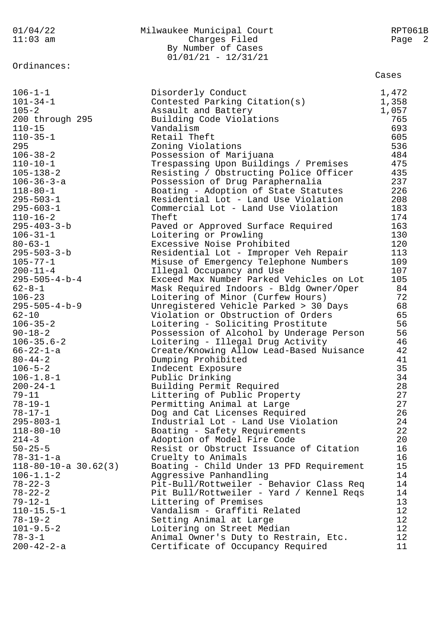| By Number of Cases<br>$01/01/21 - 12/31/21$<br>Ordinances:<br>Cases<br>Disorderly Conduct<br>1,472<br>Contested Parking Citation(s)<br>1,358<br>$105 - 2$<br>Assault and Battery<br>1,057<br>765<br>200 through 295<br>Building Code Violations<br>693<br>$110 - 15$<br>Vandalism<br>$110 - 35 - 1$<br>Retail Theft<br>605<br>536<br>295<br>Zoning Violations<br>$106 - 38 - 2$<br>484<br>Possession of Marijuana<br>$110 - 10 - 1$<br>475<br>Trespassing Upon Buildings / Premises<br>435<br>$105 - 138 - 2$<br>Resisting / Obstructing Police Officer<br>237<br>$106 - 36 - 3 - a$<br>Possession of Drug Paraphernalia<br>226<br>$118 - 80 - 1$<br>Boating - Adoption of State Statutes<br>Residential Lot - Land Use Violation<br>208<br>$295 - 503 - 1$<br>183<br>$295 - 603 - 1$<br>Commercial Lot - Land Use Violation<br>174<br>$110 - 16 - 2$<br>Theft<br>163<br>$295 - 403 - 3 - b$<br>Paved or Approved Surface Required<br>$106 - 31 - 1$<br>130<br>Loitering or Prowling<br>120<br>$80 - 63 - 1$<br>Excessive Noise Prohibited<br>$295 - 503 - 3 - b$<br>113<br>Residential Lot - Improper Veh Repair<br>109<br>$105 - 77 - 1$<br>Misuse of Emergency Telephone Numbers<br>107<br>$200 - 11 - 4$<br>Illegal Occupancy and Use<br>$295 - 505 - 4 - b - 4$<br>105<br>Exceed Max Number Parked Vehicles on Lot<br>$62 - 8 - 1$<br>84<br>Mask Required Indoors - Bldg Owner/Oper<br>72<br>$106 - 23$<br>Loitering of Minor (Curfew Hours)<br>$295 - 505 - 4 - b - 9$<br>68<br>Unregistered Vehicle Parked > 30 Days<br>$62 - 10$<br>65<br>Violation or Obstruction of Orders<br>56<br>$106 - 35 - 2$<br>Loitering - Soliciting Prostitute<br>56<br>$90 - 18 - 2$<br>Possession of Alcohol by Underage Person<br>46<br>$106 - 35.6 - 2$<br>Loitering - Illegal Drug Activity<br>42<br>$66 - 22 - 1 - a$<br>Create/Knowing Allow Lead-Based Nuisance<br>Dumping Prohibited<br>$80 - 44 - 2$<br>41<br>$106 - 5 - 2$<br>35<br>Indecent Exposure<br>34<br>$106 - 1.8 - 1$<br>Public Drinking<br>28<br>$200 - 24 - 1$<br>Building Permit Required<br>27<br>$79 - 11$<br>Littering of Public Property<br>27<br>$78 - 19 - 1$<br>Permitting Animal at Large<br>26<br>$78 - 17 - 1$<br>Dog and Cat Licenses Required<br>24<br>$295 - 803 - 1$<br>Industrial Lot - Land Use Violation<br>22<br>$118 - 80 - 10$<br>Boating - Safety Requirements<br>20<br>$214 - 3$<br>Adoption of Model Fire Code<br>16<br>$50 - 25 - 5$<br>Resist or Obstruct Issuance of Citation<br>16<br>$78 - 31 - 1 - a$<br>Cruelty to Animals<br>15<br>$118 - 80 - 10 - a$ 30.62(3)<br>Boating - Child Under 13 PFD Requirement<br>$106 - 1.1 - 2$<br>Aggressive Panhandling<br>14<br>$78 - 22 - 3$<br>Pit-Bull/Rottweiler - Behavior Class Req<br>14<br>$78 - 22 - 2$<br>Pit Bull/Rottweiler - Yard / Kennel Reqs<br>14<br>13<br>$79 - 12 - 1$<br>Littering of Premises<br>12<br>$110 - 15.5 - 1$<br>Vandalism - Graffiti Related<br>12<br>$78 - 19 - 2$<br>Setting Animal at Large<br>12<br>$101 - 9.5 - 2$<br>Loitering on Street Median<br>12<br>$78 - 3 - 1$<br>Animal Owner's Duty to Restrain, Etc. | 01/04/22           | Milwaukee Municipal Court         | RPT061B |
|---------------------------------------------------------------------------------------------------------------------------------------------------------------------------------------------------------------------------------------------------------------------------------------------------------------------------------------------------------------------------------------------------------------------------------------------------------------------------------------------------------------------------------------------------------------------------------------------------------------------------------------------------------------------------------------------------------------------------------------------------------------------------------------------------------------------------------------------------------------------------------------------------------------------------------------------------------------------------------------------------------------------------------------------------------------------------------------------------------------------------------------------------------------------------------------------------------------------------------------------------------------------------------------------------------------------------------------------------------------------------------------------------------------------------------------------------------------------------------------------------------------------------------------------------------------------------------------------------------------------------------------------------------------------------------------------------------------------------------------------------------------------------------------------------------------------------------------------------------------------------------------------------------------------------------------------------------------------------------------------------------------------------------------------------------------------------------------------------------------------------------------------------------------------------------------------------------------------------------------------------------------------------------------------------------------------------------------------------------------------------------------------------------------------------------------------------------------------------------------------------------------------------------------------------------------------------------------------------------------------------------------------------------------------------------------------------------------------------------------------------------------------------------------------------------------------------------------------------------------------------------------------------------------------------------------------------------------------------------------------------------------------------------------------------------------------------------|--------------------|-----------------------------------|---------|
|                                                                                                                                                                                                                                                                                                                                                                                                                                                                                                                                                                                                                                                                                                                                                                                                                                                                                                                                                                                                                                                                                                                                                                                                                                                                                                                                                                                                                                                                                                                                                                                                                                                                                                                                                                                                                                                                                                                                                                                                                                                                                                                                                                                                                                                                                                                                                                                                                                                                                                                                                                                                                                                                                                                                                                                                                                                                                                                                                                                                                                                                                 | $11:03$ am         | Charges Filed                     | Page 2  |
|                                                                                                                                                                                                                                                                                                                                                                                                                                                                                                                                                                                                                                                                                                                                                                                                                                                                                                                                                                                                                                                                                                                                                                                                                                                                                                                                                                                                                                                                                                                                                                                                                                                                                                                                                                                                                                                                                                                                                                                                                                                                                                                                                                                                                                                                                                                                                                                                                                                                                                                                                                                                                                                                                                                                                                                                                                                                                                                                                                                                                                                                                 |                    |                                   |         |
|                                                                                                                                                                                                                                                                                                                                                                                                                                                                                                                                                                                                                                                                                                                                                                                                                                                                                                                                                                                                                                                                                                                                                                                                                                                                                                                                                                                                                                                                                                                                                                                                                                                                                                                                                                                                                                                                                                                                                                                                                                                                                                                                                                                                                                                                                                                                                                                                                                                                                                                                                                                                                                                                                                                                                                                                                                                                                                                                                                                                                                                                                 |                    |                                   |         |
|                                                                                                                                                                                                                                                                                                                                                                                                                                                                                                                                                                                                                                                                                                                                                                                                                                                                                                                                                                                                                                                                                                                                                                                                                                                                                                                                                                                                                                                                                                                                                                                                                                                                                                                                                                                                                                                                                                                                                                                                                                                                                                                                                                                                                                                                                                                                                                                                                                                                                                                                                                                                                                                                                                                                                                                                                                                                                                                                                                                                                                                                                 |                    |                                   |         |
|                                                                                                                                                                                                                                                                                                                                                                                                                                                                                                                                                                                                                                                                                                                                                                                                                                                                                                                                                                                                                                                                                                                                                                                                                                                                                                                                                                                                                                                                                                                                                                                                                                                                                                                                                                                                                                                                                                                                                                                                                                                                                                                                                                                                                                                                                                                                                                                                                                                                                                                                                                                                                                                                                                                                                                                                                                                                                                                                                                                                                                                                                 |                    |                                   |         |
|                                                                                                                                                                                                                                                                                                                                                                                                                                                                                                                                                                                                                                                                                                                                                                                                                                                                                                                                                                                                                                                                                                                                                                                                                                                                                                                                                                                                                                                                                                                                                                                                                                                                                                                                                                                                                                                                                                                                                                                                                                                                                                                                                                                                                                                                                                                                                                                                                                                                                                                                                                                                                                                                                                                                                                                                                                                                                                                                                                                                                                                                                 | $106 - 1 - 1$      |                                   |         |
|                                                                                                                                                                                                                                                                                                                                                                                                                                                                                                                                                                                                                                                                                                                                                                                                                                                                                                                                                                                                                                                                                                                                                                                                                                                                                                                                                                                                                                                                                                                                                                                                                                                                                                                                                                                                                                                                                                                                                                                                                                                                                                                                                                                                                                                                                                                                                                                                                                                                                                                                                                                                                                                                                                                                                                                                                                                                                                                                                                                                                                                                                 | $101 - 34 - 1$     |                                   |         |
|                                                                                                                                                                                                                                                                                                                                                                                                                                                                                                                                                                                                                                                                                                                                                                                                                                                                                                                                                                                                                                                                                                                                                                                                                                                                                                                                                                                                                                                                                                                                                                                                                                                                                                                                                                                                                                                                                                                                                                                                                                                                                                                                                                                                                                                                                                                                                                                                                                                                                                                                                                                                                                                                                                                                                                                                                                                                                                                                                                                                                                                                                 |                    |                                   |         |
|                                                                                                                                                                                                                                                                                                                                                                                                                                                                                                                                                                                                                                                                                                                                                                                                                                                                                                                                                                                                                                                                                                                                                                                                                                                                                                                                                                                                                                                                                                                                                                                                                                                                                                                                                                                                                                                                                                                                                                                                                                                                                                                                                                                                                                                                                                                                                                                                                                                                                                                                                                                                                                                                                                                                                                                                                                                                                                                                                                                                                                                                                 |                    |                                   |         |
|                                                                                                                                                                                                                                                                                                                                                                                                                                                                                                                                                                                                                                                                                                                                                                                                                                                                                                                                                                                                                                                                                                                                                                                                                                                                                                                                                                                                                                                                                                                                                                                                                                                                                                                                                                                                                                                                                                                                                                                                                                                                                                                                                                                                                                                                                                                                                                                                                                                                                                                                                                                                                                                                                                                                                                                                                                                                                                                                                                                                                                                                                 |                    |                                   |         |
|                                                                                                                                                                                                                                                                                                                                                                                                                                                                                                                                                                                                                                                                                                                                                                                                                                                                                                                                                                                                                                                                                                                                                                                                                                                                                                                                                                                                                                                                                                                                                                                                                                                                                                                                                                                                                                                                                                                                                                                                                                                                                                                                                                                                                                                                                                                                                                                                                                                                                                                                                                                                                                                                                                                                                                                                                                                                                                                                                                                                                                                                                 |                    |                                   |         |
|                                                                                                                                                                                                                                                                                                                                                                                                                                                                                                                                                                                                                                                                                                                                                                                                                                                                                                                                                                                                                                                                                                                                                                                                                                                                                                                                                                                                                                                                                                                                                                                                                                                                                                                                                                                                                                                                                                                                                                                                                                                                                                                                                                                                                                                                                                                                                                                                                                                                                                                                                                                                                                                                                                                                                                                                                                                                                                                                                                                                                                                                                 |                    |                                   |         |
|                                                                                                                                                                                                                                                                                                                                                                                                                                                                                                                                                                                                                                                                                                                                                                                                                                                                                                                                                                                                                                                                                                                                                                                                                                                                                                                                                                                                                                                                                                                                                                                                                                                                                                                                                                                                                                                                                                                                                                                                                                                                                                                                                                                                                                                                                                                                                                                                                                                                                                                                                                                                                                                                                                                                                                                                                                                                                                                                                                                                                                                                                 |                    |                                   |         |
|                                                                                                                                                                                                                                                                                                                                                                                                                                                                                                                                                                                                                                                                                                                                                                                                                                                                                                                                                                                                                                                                                                                                                                                                                                                                                                                                                                                                                                                                                                                                                                                                                                                                                                                                                                                                                                                                                                                                                                                                                                                                                                                                                                                                                                                                                                                                                                                                                                                                                                                                                                                                                                                                                                                                                                                                                                                                                                                                                                                                                                                                                 |                    |                                   |         |
|                                                                                                                                                                                                                                                                                                                                                                                                                                                                                                                                                                                                                                                                                                                                                                                                                                                                                                                                                                                                                                                                                                                                                                                                                                                                                                                                                                                                                                                                                                                                                                                                                                                                                                                                                                                                                                                                                                                                                                                                                                                                                                                                                                                                                                                                                                                                                                                                                                                                                                                                                                                                                                                                                                                                                                                                                                                                                                                                                                                                                                                                                 |                    |                                   |         |
|                                                                                                                                                                                                                                                                                                                                                                                                                                                                                                                                                                                                                                                                                                                                                                                                                                                                                                                                                                                                                                                                                                                                                                                                                                                                                                                                                                                                                                                                                                                                                                                                                                                                                                                                                                                                                                                                                                                                                                                                                                                                                                                                                                                                                                                                                                                                                                                                                                                                                                                                                                                                                                                                                                                                                                                                                                                                                                                                                                                                                                                                                 |                    |                                   |         |
|                                                                                                                                                                                                                                                                                                                                                                                                                                                                                                                                                                                                                                                                                                                                                                                                                                                                                                                                                                                                                                                                                                                                                                                                                                                                                                                                                                                                                                                                                                                                                                                                                                                                                                                                                                                                                                                                                                                                                                                                                                                                                                                                                                                                                                                                                                                                                                                                                                                                                                                                                                                                                                                                                                                                                                                                                                                                                                                                                                                                                                                                                 |                    |                                   |         |
|                                                                                                                                                                                                                                                                                                                                                                                                                                                                                                                                                                                                                                                                                                                                                                                                                                                                                                                                                                                                                                                                                                                                                                                                                                                                                                                                                                                                                                                                                                                                                                                                                                                                                                                                                                                                                                                                                                                                                                                                                                                                                                                                                                                                                                                                                                                                                                                                                                                                                                                                                                                                                                                                                                                                                                                                                                                                                                                                                                                                                                                                                 |                    |                                   |         |
|                                                                                                                                                                                                                                                                                                                                                                                                                                                                                                                                                                                                                                                                                                                                                                                                                                                                                                                                                                                                                                                                                                                                                                                                                                                                                                                                                                                                                                                                                                                                                                                                                                                                                                                                                                                                                                                                                                                                                                                                                                                                                                                                                                                                                                                                                                                                                                                                                                                                                                                                                                                                                                                                                                                                                                                                                                                                                                                                                                                                                                                                                 |                    |                                   |         |
|                                                                                                                                                                                                                                                                                                                                                                                                                                                                                                                                                                                                                                                                                                                                                                                                                                                                                                                                                                                                                                                                                                                                                                                                                                                                                                                                                                                                                                                                                                                                                                                                                                                                                                                                                                                                                                                                                                                                                                                                                                                                                                                                                                                                                                                                                                                                                                                                                                                                                                                                                                                                                                                                                                                                                                                                                                                                                                                                                                                                                                                                                 |                    |                                   |         |
|                                                                                                                                                                                                                                                                                                                                                                                                                                                                                                                                                                                                                                                                                                                                                                                                                                                                                                                                                                                                                                                                                                                                                                                                                                                                                                                                                                                                                                                                                                                                                                                                                                                                                                                                                                                                                                                                                                                                                                                                                                                                                                                                                                                                                                                                                                                                                                                                                                                                                                                                                                                                                                                                                                                                                                                                                                                                                                                                                                                                                                                                                 |                    |                                   |         |
|                                                                                                                                                                                                                                                                                                                                                                                                                                                                                                                                                                                                                                                                                                                                                                                                                                                                                                                                                                                                                                                                                                                                                                                                                                                                                                                                                                                                                                                                                                                                                                                                                                                                                                                                                                                                                                                                                                                                                                                                                                                                                                                                                                                                                                                                                                                                                                                                                                                                                                                                                                                                                                                                                                                                                                                                                                                                                                                                                                                                                                                                                 |                    |                                   |         |
|                                                                                                                                                                                                                                                                                                                                                                                                                                                                                                                                                                                                                                                                                                                                                                                                                                                                                                                                                                                                                                                                                                                                                                                                                                                                                                                                                                                                                                                                                                                                                                                                                                                                                                                                                                                                                                                                                                                                                                                                                                                                                                                                                                                                                                                                                                                                                                                                                                                                                                                                                                                                                                                                                                                                                                                                                                                                                                                                                                                                                                                                                 |                    |                                   |         |
|                                                                                                                                                                                                                                                                                                                                                                                                                                                                                                                                                                                                                                                                                                                                                                                                                                                                                                                                                                                                                                                                                                                                                                                                                                                                                                                                                                                                                                                                                                                                                                                                                                                                                                                                                                                                                                                                                                                                                                                                                                                                                                                                                                                                                                                                                                                                                                                                                                                                                                                                                                                                                                                                                                                                                                                                                                                                                                                                                                                                                                                                                 |                    |                                   |         |
|                                                                                                                                                                                                                                                                                                                                                                                                                                                                                                                                                                                                                                                                                                                                                                                                                                                                                                                                                                                                                                                                                                                                                                                                                                                                                                                                                                                                                                                                                                                                                                                                                                                                                                                                                                                                                                                                                                                                                                                                                                                                                                                                                                                                                                                                                                                                                                                                                                                                                                                                                                                                                                                                                                                                                                                                                                                                                                                                                                                                                                                                                 |                    |                                   |         |
|                                                                                                                                                                                                                                                                                                                                                                                                                                                                                                                                                                                                                                                                                                                                                                                                                                                                                                                                                                                                                                                                                                                                                                                                                                                                                                                                                                                                                                                                                                                                                                                                                                                                                                                                                                                                                                                                                                                                                                                                                                                                                                                                                                                                                                                                                                                                                                                                                                                                                                                                                                                                                                                                                                                                                                                                                                                                                                                                                                                                                                                                                 |                    |                                   |         |
|                                                                                                                                                                                                                                                                                                                                                                                                                                                                                                                                                                                                                                                                                                                                                                                                                                                                                                                                                                                                                                                                                                                                                                                                                                                                                                                                                                                                                                                                                                                                                                                                                                                                                                                                                                                                                                                                                                                                                                                                                                                                                                                                                                                                                                                                                                                                                                                                                                                                                                                                                                                                                                                                                                                                                                                                                                                                                                                                                                                                                                                                                 |                    |                                   |         |
|                                                                                                                                                                                                                                                                                                                                                                                                                                                                                                                                                                                                                                                                                                                                                                                                                                                                                                                                                                                                                                                                                                                                                                                                                                                                                                                                                                                                                                                                                                                                                                                                                                                                                                                                                                                                                                                                                                                                                                                                                                                                                                                                                                                                                                                                                                                                                                                                                                                                                                                                                                                                                                                                                                                                                                                                                                                                                                                                                                                                                                                                                 |                    |                                   |         |
|                                                                                                                                                                                                                                                                                                                                                                                                                                                                                                                                                                                                                                                                                                                                                                                                                                                                                                                                                                                                                                                                                                                                                                                                                                                                                                                                                                                                                                                                                                                                                                                                                                                                                                                                                                                                                                                                                                                                                                                                                                                                                                                                                                                                                                                                                                                                                                                                                                                                                                                                                                                                                                                                                                                                                                                                                                                                                                                                                                                                                                                                                 |                    |                                   |         |
|                                                                                                                                                                                                                                                                                                                                                                                                                                                                                                                                                                                                                                                                                                                                                                                                                                                                                                                                                                                                                                                                                                                                                                                                                                                                                                                                                                                                                                                                                                                                                                                                                                                                                                                                                                                                                                                                                                                                                                                                                                                                                                                                                                                                                                                                                                                                                                                                                                                                                                                                                                                                                                                                                                                                                                                                                                                                                                                                                                                                                                                                                 |                    |                                   |         |
|                                                                                                                                                                                                                                                                                                                                                                                                                                                                                                                                                                                                                                                                                                                                                                                                                                                                                                                                                                                                                                                                                                                                                                                                                                                                                                                                                                                                                                                                                                                                                                                                                                                                                                                                                                                                                                                                                                                                                                                                                                                                                                                                                                                                                                                                                                                                                                                                                                                                                                                                                                                                                                                                                                                                                                                                                                                                                                                                                                                                                                                                                 |                    |                                   |         |
|                                                                                                                                                                                                                                                                                                                                                                                                                                                                                                                                                                                                                                                                                                                                                                                                                                                                                                                                                                                                                                                                                                                                                                                                                                                                                                                                                                                                                                                                                                                                                                                                                                                                                                                                                                                                                                                                                                                                                                                                                                                                                                                                                                                                                                                                                                                                                                                                                                                                                                                                                                                                                                                                                                                                                                                                                                                                                                                                                                                                                                                                                 |                    |                                   |         |
|                                                                                                                                                                                                                                                                                                                                                                                                                                                                                                                                                                                                                                                                                                                                                                                                                                                                                                                                                                                                                                                                                                                                                                                                                                                                                                                                                                                                                                                                                                                                                                                                                                                                                                                                                                                                                                                                                                                                                                                                                                                                                                                                                                                                                                                                                                                                                                                                                                                                                                                                                                                                                                                                                                                                                                                                                                                                                                                                                                                                                                                                                 |                    |                                   |         |
|                                                                                                                                                                                                                                                                                                                                                                                                                                                                                                                                                                                                                                                                                                                                                                                                                                                                                                                                                                                                                                                                                                                                                                                                                                                                                                                                                                                                                                                                                                                                                                                                                                                                                                                                                                                                                                                                                                                                                                                                                                                                                                                                                                                                                                                                                                                                                                                                                                                                                                                                                                                                                                                                                                                                                                                                                                                                                                                                                                                                                                                                                 |                    |                                   |         |
|                                                                                                                                                                                                                                                                                                                                                                                                                                                                                                                                                                                                                                                                                                                                                                                                                                                                                                                                                                                                                                                                                                                                                                                                                                                                                                                                                                                                                                                                                                                                                                                                                                                                                                                                                                                                                                                                                                                                                                                                                                                                                                                                                                                                                                                                                                                                                                                                                                                                                                                                                                                                                                                                                                                                                                                                                                                                                                                                                                                                                                                                                 |                    |                                   |         |
|                                                                                                                                                                                                                                                                                                                                                                                                                                                                                                                                                                                                                                                                                                                                                                                                                                                                                                                                                                                                                                                                                                                                                                                                                                                                                                                                                                                                                                                                                                                                                                                                                                                                                                                                                                                                                                                                                                                                                                                                                                                                                                                                                                                                                                                                                                                                                                                                                                                                                                                                                                                                                                                                                                                                                                                                                                                                                                                                                                                                                                                                                 |                    |                                   |         |
|                                                                                                                                                                                                                                                                                                                                                                                                                                                                                                                                                                                                                                                                                                                                                                                                                                                                                                                                                                                                                                                                                                                                                                                                                                                                                                                                                                                                                                                                                                                                                                                                                                                                                                                                                                                                                                                                                                                                                                                                                                                                                                                                                                                                                                                                                                                                                                                                                                                                                                                                                                                                                                                                                                                                                                                                                                                                                                                                                                                                                                                                                 |                    |                                   |         |
|                                                                                                                                                                                                                                                                                                                                                                                                                                                                                                                                                                                                                                                                                                                                                                                                                                                                                                                                                                                                                                                                                                                                                                                                                                                                                                                                                                                                                                                                                                                                                                                                                                                                                                                                                                                                                                                                                                                                                                                                                                                                                                                                                                                                                                                                                                                                                                                                                                                                                                                                                                                                                                                                                                                                                                                                                                                                                                                                                                                                                                                                                 |                    |                                   |         |
|                                                                                                                                                                                                                                                                                                                                                                                                                                                                                                                                                                                                                                                                                                                                                                                                                                                                                                                                                                                                                                                                                                                                                                                                                                                                                                                                                                                                                                                                                                                                                                                                                                                                                                                                                                                                                                                                                                                                                                                                                                                                                                                                                                                                                                                                                                                                                                                                                                                                                                                                                                                                                                                                                                                                                                                                                                                                                                                                                                                                                                                                                 |                    |                                   |         |
|                                                                                                                                                                                                                                                                                                                                                                                                                                                                                                                                                                                                                                                                                                                                                                                                                                                                                                                                                                                                                                                                                                                                                                                                                                                                                                                                                                                                                                                                                                                                                                                                                                                                                                                                                                                                                                                                                                                                                                                                                                                                                                                                                                                                                                                                                                                                                                                                                                                                                                                                                                                                                                                                                                                                                                                                                                                                                                                                                                                                                                                                                 |                    |                                   |         |
|                                                                                                                                                                                                                                                                                                                                                                                                                                                                                                                                                                                                                                                                                                                                                                                                                                                                                                                                                                                                                                                                                                                                                                                                                                                                                                                                                                                                                                                                                                                                                                                                                                                                                                                                                                                                                                                                                                                                                                                                                                                                                                                                                                                                                                                                                                                                                                                                                                                                                                                                                                                                                                                                                                                                                                                                                                                                                                                                                                                                                                                                                 |                    |                                   |         |
|                                                                                                                                                                                                                                                                                                                                                                                                                                                                                                                                                                                                                                                                                                                                                                                                                                                                                                                                                                                                                                                                                                                                                                                                                                                                                                                                                                                                                                                                                                                                                                                                                                                                                                                                                                                                                                                                                                                                                                                                                                                                                                                                                                                                                                                                                                                                                                                                                                                                                                                                                                                                                                                                                                                                                                                                                                                                                                                                                                                                                                                                                 |                    |                                   |         |
|                                                                                                                                                                                                                                                                                                                                                                                                                                                                                                                                                                                                                                                                                                                                                                                                                                                                                                                                                                                                                                                                                                                                                                                                                                                                                                                                                                                                                                                                                                                                                                                                                                                                                                                                                                                                                                                                                                                                                                                                                                                                                                                                                                                                                                                                                                                                                                                                                                                                                                                                                                                                                                                                                                                                                                                                                                                                                                                                                                                                                                                                                 |                    |                                   |         |
|                                                                                                                                                                                                                                                                                                                                                                                                                                                                                                                                                                                                                                                                                                                                                                                                                                                                                                                                                                                                                                                                                                                                                                                                                                                                                                                                                                                                                                                                                                                                                                                                                                                                                                                                                                                                                                                                                                                                                                                                                                                                                                                                                                                                                                                                                                                                                                                                                                                                                                                                                                                                                                                                                                                                                                                                                                                                                                                                                                                                                                                                                 |                    |                                   |         |
|                                                                                                                                                                                                                                                                                                                                                                                                                                                                                                                                                                                                                                                                                                                                                                                                                                                                                                                                                                                                                                                                                                                                                                                                                                                                                                                                                                                                                                                                                                                                                                                                                                                                                                                                                                                                                                                                                                                                                                                                                                                                                                                                                                                                                                                                                                                                                                                                                                                                                                                                                                                                                                                                                                                                                                                                                                                                                                                                                                                                                                                                                 |                    |                                   |         |
|                                                                                                                                                                                                                                                                                                                                                                                                                                                                                                                                                                                                                                                                                                                                                                                                                                                                                                                                                                                                                                                                                                                                                                                                                                                                                                                                                                                                                                                                                                                                                                                                                                                                                                                                                                                                                                                                                                                                                                                                                                                                                                                                                                                                                                                                                                                                                                                                                                                                                                                                                                                                                                                                                                                                                                                                                                                                                                                                                                                                                                                                                 |                    |                                   |         |
|                                                                                                                                                                                                                                                                                                                                                                                                                                                                                                                                                                                                                                                                                                                                                                                                                                                                                                                                                                                                                                                                                                                                                                                                                                                                                                                                                                                                                                                                                                                                                                                                                                                                                                                                                                                                                                                                                                                                                                                                                                                                                                                                                                                                                                                                                                                                                                                                                                                                                                                                                                                                                                                                                                                                                                                                                                                                                                                                                                                                                                                                                 |                    |                                   |         |
|                                                                                                                                                                                                                                                                                                                                                                                                                                                                                                                                                                                                                                                                                                                                                                                                                                                                                                                                                                                                                                                                                                                                                                                                                                                                                                                                                                                                                                                                                                                                                                                                                                                                                                                                                                                                                                                                                                                                                                                                                                                                                                                                                                                                                                                                                                                                                                                                                                                                                                                                                                                                                                                                                                                                                                                                                                                                                                                                                                                                                                                                                 |                    |                                   |         |
|                                                                                                                                                                                                                                                                                                                                                                                                                                                                                                                                                                                                                                                                                                                                                                                                                                                                                                                                                                                                                                                                                                                                                                                                                                                                                                                                                                                                                                                                                                                                                                                                                                                                                                                                                                                                                                                                                                                                                                                                                                                                                                                                                                                                                                                                                                                                                                                                                                                                                                                                                                                                                                                                                                                                                                                                                                                                                                                                                                                                                                                                                 |                    |                                   |         |
|                                                                                                                                                                                                                                                                                                                                                                                                                                                                                                                                                                                                                                                                                                                                                                                                                                                                                                                                                                                                                                                                                                                                                                                                                                                                                                                                                                                                                                                                                                                                                                                                                                                                                                                                                                                                                                                                                                                                                                                                                                                                                                                                                                                                                                                                                                                                                                                                                                                                                                                                                                                                                                                                                                                                                                                                                                                                                                                                                                                                                                                                                 |                    |                                   |         |
|                                                                                                                                                                                                                                                                                                                                                                                                                                                                                                                                                                                                                                                                                                                                                                                                                                                                                                                                                                                                                                                                                                                                                                                                                                                                                                                                                                                                                                                                                                                                                                                                                                                                                                                                                                                                                                                                                                                                                                                                                                                                                                                                                                                                                                                                                                                                                                                                                                                                                                                                                                                                                                                                                                                                                                                                                                                                                                                                                                                                                                                                                 |                    |                                   |         |
|                                                                                                                                                                                                                                                                                                                                                                                                                                                                                                                                                                                                                                                                                                                                                                                                                                                                                                                                                                                                                                                                                                                                                                                                                                                                                                                                                                                                                                                                                                                                                                                                                                                                                                                                                                                                                                                                                                                                                                                                                                                                                                                                                                                                                                                                                                                                                                                                                                                                                                                                                                                                                                                                                                                                                                                                                                                                                                                                                                                                                                                                                 |                    |                                   |         |
|                                                                                                                                                                                                                                                                                                                                                                                                                                                                                                                                                                                                                                                                                                                                                                                                                                                                                                                                                                                                                                                                                                                                                                                                                                                                                                                                                                                                                                                                                                                                                                                                                                                                                                                                                                                                                                                                                                                                                                                                                                                                                                                                                                                                                                                                                                                                                                                                                                                                                                                                                                                                                                                                                                                                                                                                                                                                                                                                                                                                                                                                                 |                    |                                   |         |
|                                                                                                                                                                                                                                                                                                                                                                                                                                                                                                                                                                                                                                                                                                                                                                                                                                                                                                                                                                                                                                                                                                                                                                                                                                                                                                                                                                                                                                                                                                                                                                                                                                                                                                                                                                                                                                                                                                                                                                                                                                                                                                                                                                                                                                                                                                                                                                                                                                                                                                                                                                                                                                                                                                                                                                                                                                                                                                                                                                                                                                                                                 |                    |                                   |         |
|                                                                                                                                                                                                                                                                                                                                                                                                                                                                                                                                                                                                                                                                                                                                                                                                                                                                                                                                                                                                                                                                                                                                                                                                                                                                                                                                                                                                                                                                                                                                                                                                                                                                                                                                                                                                                                                                                                                                                                                                                                                                                                                                                                                                                                                                                                                                                                                                                                                                                                                                                                                                                                                                                                                                                                                                                                                                                                                                                                                                                                                                                 |                    |                                   |         |
|                                                                                                                                                                                                                                                                                                                                                                                                                                                                                                                                                                                                                                                                                                                                                                                                                                                                                                                                                                                                                                                                                                                                                                                                                                                                                                                                                                                                                                                                                                                                                                                                                                                                                                                                                                                                                                                                                                                                                                                                                                                                                                                                                                                                                                                                                                                                                                                                                                                                                                                                                                                                                                                                                                                                                                                                                                                                                                                                                                                                                                                                                 | $200 - 42 - 2 - a$ | Certificate of Occupancy Required | 11      |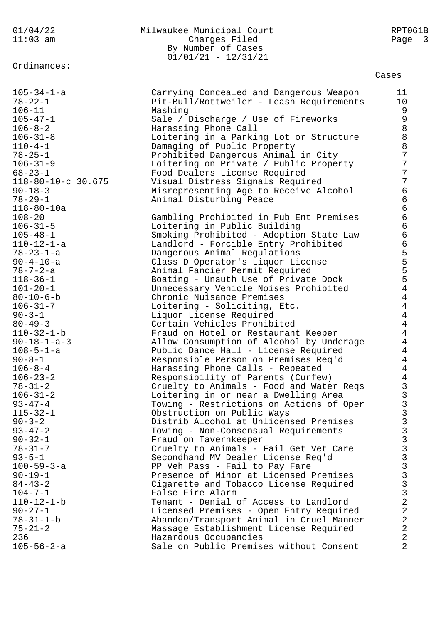Ordinances:

## 01/04/22 Milwaukee Municipal Court RPT061B 11:03 am Charges Filed Page 3 By Number of Cases 01/01/21 - 12/31/21

Cases

| $105 - 34 - 1 - a$                                           | Carrying Concealed and Dangerous Weapon                                                                            | 11                                          |
|--------------------------------------------------------------|--------------------------------------------------------------------------------------------------------------------|---------------------------------------------|
| $78 - 22 - 1$                                                | Pit-Bull/Rottweiler - Leash Requirements                                                                           | 10                                          |
| $106 - 11$                                                   | Mashing                                                                                                            | 9                                           |
| $105 - 47 - 1$                                               | Sale / Discharge / Use of Fireworks                                                                                | 9                                           |
| $106 - 8 - 2$                                                | Harassing Phone Call                                                                                               | 8                                           |
| $106 - 31 - 8$                                               | Loitering in a Parking Lot or Structure                                                                            | 8                                           |
| $110 - 4 - 1$                                                | Damaging of Public Property                                                                                        | 8                                           |
| $78 - 25 - 1$                                                | Prohibited Dangerous Animal in City                                                                                | 7                                           |
| $106 - 31 - 9$                                               | Loitering on Private / Public Property                                                                             | 7                                           |
| $68 - 23 - 1$                                                | Food Dealers License Required                                                                                      | 7                                           |
| 118-80-10-c 30.675                                           | Visual Distress Signals Required                                                                                   | 7                                           |
| $90 - 18 - 3$                                                | Misrepresenting Age to Receive Alcohol                                                                             | $\overline{6}$                              |
| $78 - 29 - 1$                                                | Animal Disturbing Peace                                                                                            | $\overline{6}$                              |
| 118-80-10a<br>$108 - 20$<br>$106 - 31 - 5$<br>$105 - 48 - 1$ | Gambling Prohibited in Pub Ent Premises<br>Loitering in Public Building<br>Smoking Prohibited - Adoption State Law | $\overline{6}$<br>$\sigma$<br>6<br>$\sigma$ |
| $110 - 12 - 1 - a$<br>$78 - 23 - 1 - a$<br>$90 - 4 - 10 - a$ | Landlord - Forcible Entry Prohibited<br>Dangerous Animal Regulations<br>Class D Operator's Liquor License          | 6                                           |
| $78 - 7 - 2 - a$<br>$118 - 36 - 1$<br>$101 - 20 - 1$         | Animal Fancier Permit Required<br>Boating - Unauth Use of Private Dock<br>Unnecessary Vehicle Noises Prohibited    | 5554                                        |
| $80 - 10 - 6 - b$<br>$106 - 31 - 7$<br>$90 - 3 - 1$          | Chronic Nuisance Premises<br>Loitering - Soliciting, Etc.<br>Liquor License Required                               | $\begin{array}{c} 4 \\ 4 \\ 4 \end{array}$  |
| $80 - 49 - 3$<br>110-32-1-b<br>$90 - 18 - 1 - a - 3$         | Certain Vehicles Prohibited<br>Fraud on Hotel or Restaurant Keeper<br>Allow Consumption of Alcohol by Underage     | $\overline{4}$<br>$\overline{4}$            |
| $108 - 5 - 1 - a$                                            | Public Dance Hall - License Required                                                                               | $\overline{4}$                              |
| $90 - 8 - 1$                                                 | Responsible Person on Premises Req'd                                                                               | $\overline{4}$                              |
| $106 - 8 - 4$                                                | Harassing Phone Calls - Repeated                                                                                   | $\overline{4}$                              |
| $106 - 23 - 2$                                               | Responsibility of Parents (Curfew)                                                                                 | $\overline{4}$                              |
| $78 - 31 - 2$                                                | Cruelty to Animals - Food and Water Reqs                                                                           | 3                                           |
| $106 - 31 - 2$                                               | Loitering in or near a Dwelling Area                                                                               | 3                                           |
| $93 - 47 - 4$                                                | Towing - Restrictions on Actions of Oper                                                                           | 3                                           |
| $115 - 32 - 1$                                               | Obstruction on Public Ways                                                                                         | 3                                           |
| $90 - 3 - 2$                                                 | Distrib Alcohol at Unlicensed Premises                                                                             | 3                                           |
| $93 - 47 - 2$                                                | Towing - Non-Consensual Requirements                                                                               | 3                                           |
| $90 - 32 - 1$                                                | Fraud on Tavernkeeper                                                                                              | 3                                           |
| $78 - 31 - 7$                                                | Cruelty to Animals - Fail Get Vet Care                                                                             | 3                                           |
| $93 - 5 - 1$<br>$100 - 59 - 3 - a$<br>$90 - 19 - 1$          | Secondhand MV Dealer License Req'd<br>PP Veh Pass - Fail to Pay Fare<br>Presence of Minor at Licensed Premises     | 3<br>$\frac{3}{3}$                          |
| $84 - 43 - 2$                                                | Cigarette and Tobacco License Required                                                                             | 3                                           |
| $104 - 7 - 1$                                                | False Fire Alarm                                                                                                   | 3                                           |
| $110 - 12 - 1 - b$                                           | Tenant - Denial of Access to Landlord                                                                              | $\overline{a}$                              |
| $90 - 27 - 1$                                                | Licensed Premises - Open Entry Required                                                                            | $\overline{a}$                              |
| $78 - 31 - 1 - b$                                            | Abandon/Transport Animal in Cruel Manner                                                                           | $\overline{a}$                              |
| $75 - 21 - 2$                                                | Massage Establishment License Required                                                                             | $\overline{a}$                              |
| 236                                                          | Hazardous Occupancies                                                                                              | $\overline{a}$                              |
| $105 - 56 - 2 - a$                                           | Sale on Public Premises without Consent                                                                            | $\overline{2}$                              |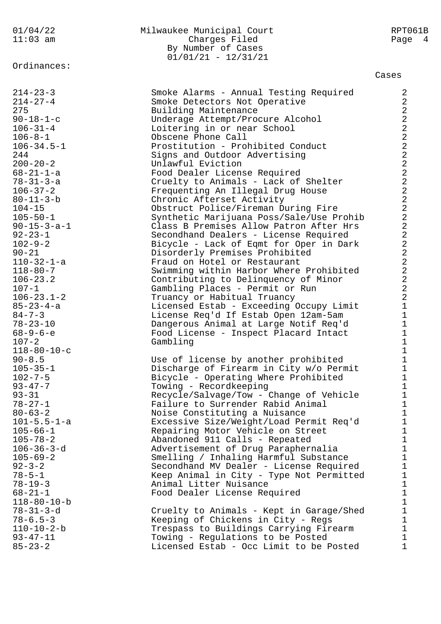#### Ordinances:

### 01/04/22 Milwaukee Municipal Court RPT061B 11:03 am Charges Filed Page 4 By Number of Cases 01/01/21 - 12/31/21

#### Cases

| $214 - 23 - 3$        | Smoke Alarms - Annual Testing Required                               | $\boldsymbol{2}$                           |
|-----------------------|----------------------------------------------------------------------|--------------------------------------------|
| $214 - 27 - 4$        | Smoke Detectors Not Operative                                        | $\overline{a}$                             |
| 275                   | Building Maintenance                                                 |                                            |
| $90 - 18 - 1 - c$     | Underage Attempt/Procure Alcohol                                     |                                            |
| $106 - 31 - 4$        | Loitering in or near School                                          |                                            |
| $106 - 8 - 1$         | Obscene Phone Call                                                   |                                            |
| $106 - 34.5 - 1$      | Prostitution - Prohibited Conduct                                    |                                            |
| 244                   |                                                                      |                                            |
| $200 - 20 - 2$        | Signs and Outdoor Advertising<br>Unlawful Eviction                   |                                            |
| $68 - 21 - 1 - a$     |                                                                      |                                            |
| $78 - 31 - 3 - a$     | Food Dealer License Required<br>Cruelty to Animals - Lack of Shelter |                                            |
| $106 - 37 - 2$        |                                                                      | 222222222                                  |
| $80 - 11 - 3 - b$     | Frequenting An Illegal Drug House                                    | $\overline{a}$                             |
|                       | Chronic Afterset Activity                                            | $\overline{a}$                             |
| $104 - 15$            | Obstruct Police/Fireman During Fire                                  | $\overline{a}$                             |
| $105 - 50 - 1$        | Synthetic Marijuana Poss/Sale/Use Prohib                             | $\overline{a}$                             |
| $90 - 15 - 3 - a - 1$ | Class B Premises Allow Patron After Hrs                              | $\overline{a}$                             |
| $92 - 23 - 1$         | Secondhand Dealers - License Required                                |                                            |
| $102 - 9 - 2$         | Bicycle - Lack of Eqmt for Oper in Dark                              |                                            |
| $90 - 21$             | Disorderly Premises Prohibited                                       | $\begin{array}{c} 2 \\ 2 \\ 2 \end{array}$ |
| $110 - 32 - 1 - a$    | Fraud on Hotel or Restaurant                                         | $\overline{a}$                             |
| $118 - 80 - 7$        | Swimming within Harbor Where Prohibited                              | $\overline{a}$                             |
| $106 - 23.2$          | Contributing to Delinquency of Minor                                 | $\overline{a}$                             |
| $107 - 1$             | Gambling Places - Permit or Run                                      | $\overline{a}$                             |
| $106 - 23.1 - 2$      | Truancy or Habitual Truancy                                          |                                            |
| $85 - 23 - 4 - a$     | Licensed Estab - Exceeding Occupy Limit                              | $\mathbf 1$                                |
| $84 - 7 - 3$          | License Req'd If Estab Open 12am-5am                                 | $\mathbf 1$                                |
| $78 - 23 - 10$        | Dangerous Animal at Large Notif Req'd                                |                                            |
| $68 - 9 - 6 - e$      | Food License - Inspect Placard Intact                                | $\begin{array}{c} 1 \\ 1 \\ 1 \end{array}$ |
| $107 - 2$             | Gambling                                                             |                                            |
| $118 - 80 - 10 - c$   |                                                                      | 111111                                     |
| $90 - 8.5$            | Use of license by another prohibited                                 |                                            |
| $105 - 35 - 1$        | Discharge of Firearm in City w/o Permit                              |                                            |
| $102 - 7 - 5$         | Bicycle - Operating Where Prohibited                                 |                                            |
| $93 - 47 - 7$         | Towing - Recordkeeping                                               |                                            |
| $93 - 31$             | Recycle/Salvage/Tow - Change of Vehicle                              |                                            |
| $78 - 27 - 1$         | Failure to Surrender Rabid Animal                                    |                                            |
| $80 - 63 - 2$         | Noise Constituting a Nuisance                                        | $\mathbf{1}$                               |
| $101 - 5.5 - 1 - a$   | Excessive Size/Weight/Load Permit Req'd                              | 1                                          |
| $105 - 66 - 1$        | Repairing Motor Vehicle on Street                                    | 1                                          |
| $105 - 78 - 2$        | Abandoned 911 Calls - Repeated                                       | $\mathbf 1$                                |
| $106 - 36 - 3 - d$    | Advertisement of Drug Paraphernalia                                  | $\mathbf{1}$                               |
| $105 - 69 - 2$        | Smelling / Inhaling Harmful Substance                                | $\mathbf{1}$                               |
| $92 - 3 - 2$          | Secondhand MV Dealer - License Required                              |                                            |
| $78 - 5 - 1$          | Keep Animal in City - Type Not Permitted                             | $\begin{array}{c} 1 \\ 1 \\ 1 \end{array}$ |
| $78 - 19 - 3$         | Animal Litter Nuisance                                               |                                            |
| $68 - 21 - 1$         | Food Dealer License Required                                         | $\mathbf 1$                                |
| $118 - 80 - 10 - b$   |                                                                      | $\mathbf 1$                                |
| $78 - 31 - 3 - d$     | Cruelty to Animals - Kept in Garage/Shed                             | $\mathbf 1$                                |
| $78 - 6.5 - 3$        | Keeping of Chickens in City - Regs                                   | $\mathbf 1$                                |
|                       |                                                                      |                                            |

110-10-2-b Trespass to Buildings Carrying Firearm 1<br>
93-47-11 Towing - Requlations to be Posted 1 93-47-11 Towing - Regulations to be Posted 1<br>85-23-2 1 Licensed Estab - Occ Limit to be Posted 1 Licensed Estab - Occ Limit to be Posted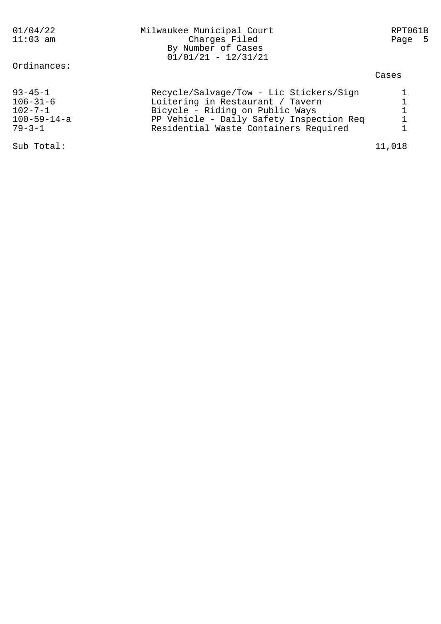| 01/04/22<br>$11:03$ am                                                                  | Milwaukee Municipal Court<br>Charges Filed<br>By Number of Cases<br>$01/01/21 - 12/31/21$                                                                                                           | RPT061B<br>- 5<br>Page |
|-----------------------------------------------------------------------------------------|-----------------------------------------------------------------------------------------------------------------------------------------------------------------------------------------------------|------------------------|
| Ordinances:                                                                             |                                                                                                                                                                                                     | Cases                  |
| $93 - 45 - 1$<br>$106 - 31 - 6$<br>$102 - 7 - 1$<br>$100 - 59 - 14 - a$<br>$79 - 3 - 1$ | Recycle/Salvage/Tow - Lic Stickers/Sign<br>Loitering in Restaurant / Tavern<br>Bicycle - Riding on Public Ways<br>PP Vehicle - Daily Safety Inspection Req<br>Residential Waste Containers Required | $\mathbf{1}$           |
| Sub Total:                                                                              |                                                                                                                                                                                                     | 11,018                 |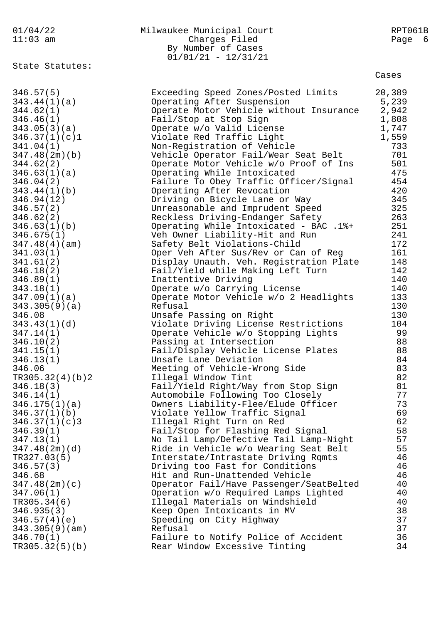| 01/04/22<br>$11:03$ am     | Milwaukee Municipal Court<br>Charges Filed<br>By Number of Cases<br>$01/01/21 - 12/31/21$ | RPT061B<br>Page<br>- 6 |
|----------------------------|-------------------------------------------------------------------------------------------|------------------------|
| State Statutes:            |                                                                                           | Cases                  |
| 346.57(5)                  | Exceeding Speed Zones/Posted Limits                                                       | 20,389                 |
| 343.44(1)(a)               | Operating After Suspension                                                                | 5,239                  |
| 344.62(1)                  | Operate Motor Vehicle without Insurance                                                   | 2,942                  |
| 346.46(1)                  | Fail/Stop at Stop Sign                                                                    | 1,808                  |
| 343.05(3)(a)               | Operate w/o Valid License                                                                 | 1,747                  |
| 346.37(1)(c)1              | Violate Red Traffic Light                                                                 | 1,559                  |
| 341.04(1)                  | Non-Registration of Vehicle                                                               | 733                    |
| 347.48(2m)(b)              | Vehicle Operator Fail/Wear Seat Belt                                                      | 701                    |
| 344.62(2)                  | Operate Motor Vehicle w/o Proof of Ins                                                    | 501                    |
| 346.63(1)(a)               | Operating While Intoxicated                                                               | 475                    |
| 346.04(2)                  | Failure To Obey Traffic Officer/Signal                                                    | 454                    |
| 343.44(1)(b)<br>346.94(12) | Operating After Revocation                                                                | 420<br>345             |
| 346.57(2)                  | Driving on Bicycle Lane or Way<br>Unreasonable and Imprudent Speed                        | 325                    |
| 346.62(2)                  | Reckless Driving-Endanger Safety                                                          | 263                    |
| 346.63(1)(b)               | Operating While Intoxicated - BAC .1%+                                                    | 251                    |
| 346.675(1)                 | Veh Owner Liability-Hit and Run                                                           | 241                    |
| 347.48(4)(am)              | Safety Belt Violations-Child                                                              | 172                    |
| 341.03(1)                  | Oper Veh After Sus/Rev or Can of Reg                                                      | 161                    |
| 341.61(2)                  | Display Unauth. Veh. Registration Plate                                                   | 148                    |
| 346.18(2)                  | Fail/Yield while Making Left Turn                                                         | 142                    |
| 346.89(1)                  | Inattentive Driving                                                                       | 140                    |
| 343.18(1)                  | Operate w/o Carrying License                                                              | 140                    |
| 347.09(1)(a)               | Operate Motor Vehicle w/o 2 Headlights                                                    | 133                    |
| 343.305(9)(a)              | Refusal                                                                                   | 130                    |
| 346.08                     | Unsafe Passing on Right                                                                   | 130                    |
| 343.43(1)(d)               | Violate Driving License Restrictions                                                      | 104                    |
| 347.14(1)                  | Operate Vehicle w/o Stopping Lights                                                       | 99                     |
| 346.10(2)                  | Passing at Intersection                                                                   | 88                     |
| 341.15(1)                  | Fail/Display Vehicle License Plates                                                       | 88                     |
| 346.13(1)<br>346.06        | Unsafe Lane Deviation<br>Meeting of Vehicle-Wrong Side                                    | 84<br>83               |
| TR305.32(4)(b)2            | Illegal Window Tint                                                                       | 82                     |
| 346.18(3)                  | Fail/Yield Right/Way from Stop Sign                                                       | 81                     |
| 346.14(1)                  | Automobile Following Too Closely                                                          | 77                     |
| 346.175(1)(a)              | Owners Liability-Flee/Elude Officer                                                       | 73                     |
| 346.37(1)(b)               | Violate Yellow Traffic Signal                                                             | 69                     |
| 346.37(1)(c)3              | Illegal Right Turn on Red                                                                 | 62                     |
| 346.39(1)                  | Fail/Stop for Flashing Red Signal                                                         | 58                     |
| 347.13(1)                  | No Tail Lamp/Defective Tail Lamp-Night                                                    | 57                     |
| 347.48(2m)(d)              | Ride in Vehicle w/o Wearing Seat Belt                                                     | 55                     |
| TR327.03(5)                | Interstate/Intrastate Driving Rqmts                                                       | 46                     |
| 346.57(3)                  | Driving too Fast for Conditions                                                           | 46                     |
| 346.68                     | Hit and Run-Unattended Vehicle                                                            | 46                     |
| 347.48(2m)(c)              | Operator Fail/Have Passenger/SeatBelted                                                   | 40                     |
| 347.06(1)                  | Operation w/o Required Lamps Lighted                                                      | 40                     |
| TR305.34(6)                | Illegal Materials on Windshield                                                           | 40<br>38               |
| 346.935(3)<br>346.57(4)(e) | Keep Open Intoxicants in MV                                                               | 37                     |
| 343.305(9)(am)             | Speeding on City Highway<br>Refusal                                                       | 37                     |
| 346.70(1)                  | Failure to Notify Police of Accident                                                      | 36                     |
| TR305.32(5)(b)             | Rear Window Excessive Tinting                                                             | 34                     |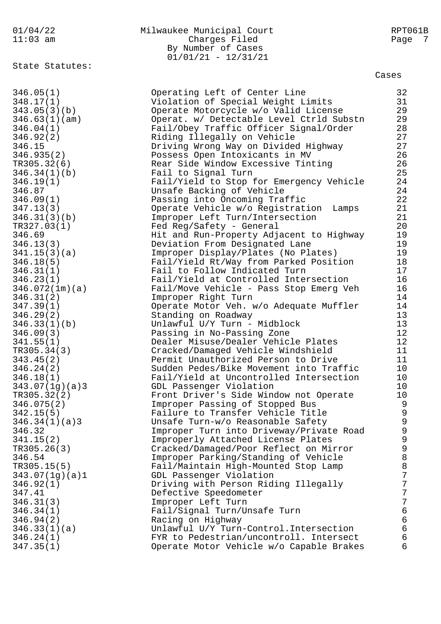### 01/04/22 Milwaukee Municipal Court RPT061B 11:03 am Charges Filed Page 7 By Number of Cases 01/01/21 - 12/31/21

State Statutes:

Cases

346.05(1) Operating Left of Center Line 32 348.17(1) Violation of Special Weight Limits 31 343.05(3)(b) Operate Motorcycle w/o Valid License 29 346.63(1)(am) Operat. w/ Detectable Level Ctrld Substn 29 346.04(1) Fail/Obey Traffic Officer Signal/Order 28 346.92(2) Riding Illegally on Vehicle 27 346.15 Driving Wrong Way on Divided Highway 27 346.935(2) Possess Open Intoxicants in MV 26 TR305.32(6) Rear Side Window Excessive Tinting 26 346.34(1)(b) Fail to Signal Turn 25 346.19(1) Fail/Yield to Stop for Emergency Vehicle 24 346.87 Unsafe Backing of Vehicle 24 346.09(1) Passing into Oncoming Traffic 22 347.13(3) Operate Vehicle w/o Registration Lamps 21 346.31(3)(b) Improper Left Turn/Intersection 21 TR327.03(1) Fed Reg/Safety - General 20 346.69 Hit and Run-Property Adjacent to Highway 19 346.13(3) Deviation From Designated Lane 19 341.15(3)(a) Improper Display/Plates (No Plates) 19 346.18(5) Fail/Yield Rt/Way from Parked Position 18 346.31(1) Fail to Follow Indicated Turn 17 346.23(1) Fail/Yield at Controlled Intersection 16 346.072(1m)(a) Fail/Move Vehicle - Pass Stop Emerg Veh 16 346.31(2) Improper Right Turn 14 347.39(1) Operate Motor Veh. w/o Adequate Muffler 14 346.29(2) Standing on Roadway 13 346.33(1)(b) Unlawful U/Y Turn - Midblock 13 346.09(3) Passing in No-Passing Zone 12 341.55(1) Dealer Misuse/Dealer Vehicle Plates 12 TR305.34(3) Cracked/Damaged Vehicle Windshield 11 343.45(2) Permit Unauthorized Person to Drive 11 346.24(2) Sudden Pedes/Bike Movement into Traffic 10 346.18(1) Fail/Yield at Uncontrolled Intersection 10 343.07(1g)(a)3 GDL Passenger Violation 10 TR305.32(2) Front Driver's Side Window not Operate 10 346.075(2) Improper Passing of Stopped Bus 9 342.15(5) Failure to Transfer Vehicle Title 9 346.34(1)(a)3 Unsafe Turn-w/o Reasonable Safety 9 346.32 Improper Turn into Driveway/Private Road 9 341.15(2) Improperly Attached License Plates 9 TR305.26(3) Cracked/Damaged/Poor Reflect on Mirror 9 346.54 Improper Parking/Standing of Vehicle 8 TR305.15(5) Fail/Maintain High-Mounted Stop Lamp 8 343.07(1g)(a)1 GDL Passenger Violation 7 346.92(1) Driving with Person Riding Illegally 7 347.41 Defective Speedometer 7 346.31(3) Improper Left Turn 7 346.34(1) Fail/Signal Turn/Unsafe Turn 6 346.94(2) Racing on Highway 6 346.33(1)(a) Unlawful U/Y Turn-Control.Intersection 6 346.24(1) FYR to Pedestrian/uncontroll. Intersect 6 347.35(1) Operate Motor Vehicle w/o Capable Brakes 6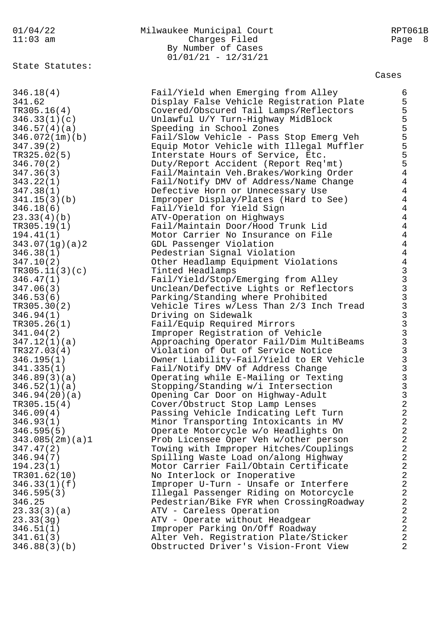# State Statutes:

### 01/04/22 Milwaukee Municipal Court RPT061B 11:03 am Charges Filed Page 8 By Number of Cases 01/01/21 - 12/31/21

Cases

| 346.18(4)       | Fail/Yield when Emerging from Alley      | $\epsilon$                                               |
|-----------------|------------------------------------------|----------------------------------------------------------|
| 341.62          | Display False Vehicle Registration Plate | 5                                                        |
|                 |                                          |                                                          |
| TR305.16(4)     | Covered/Obscured Tail Lamps/Reflectors   | $\frac{5}{5}$                                            |
| 346.33(1)(c)    | Unlawful U/Y Turn-Highway MidBlock       |                                                          |
| 346.57(4)(a)    | Speeding in School Zones                 | 5555                                                     |
| 346.072(1m)(b)  | Fail/Slow Vehicle - Pass Stop Emerg Veh  |                                                          |
| 347.39(2)       | Equip Motor Vehicle with Illegal Muffler |                                                          |
| TR325.02(5)     | Interstate Hours of Service, Etc.        |                                                          |
| 346.70(2)       | Duty/Report Accident (Report Req'mt)     | 5                                                        |
|                 |                                          | $\overline{4}$                                           |
| 347.36(3)       | Fail/Maintain Veh.Brakes/Working Order   |                                                          |
| 343.22(1)       | Fail/Notify DMV of Address/Name Change   | $\overline{4}$                                           |
| 347.38(1)       | Defective Horn or Unnecessary Use        | $\overline{4}$                                           |
| 341.15(3)(b)    | Improper Display/Plates (Hard to See)    | $\overline{4}$                                           |
| 346.18(6)       | Fail/Yield for Yield Sign                | $\overline{4}$                                           |
| 23.33(4)(b)     | ATV-Operation on Highways                | $\overline{4}$                                           |
| TR305.19(1)     | Fail/Maintain Door/Hood Trunk Lid        | $\overline{4}$                                           |
| 194.41(1)       | Motor Carrier No Insurance on File       | $\overline{4}$                                           |
| 343.07(1g)(a)2  | GDL Passenger Violation                  | $\overline{4}$                                           |
| 346.38(1)       | Pedestrian Signal Violation              | $\overline{4}$                                           |
|                 |                                          |                                                          |
| 347.10(2)       | Other Headlamp Equipment Violations      | $\overline{4}$                                           |
| TR305.11(3)(c)  | Tinted Headlamps                         |                                                          |
| 346.47(1)       | Fail/Yield/Stop/Emerging from Alley      |                                                          |
| 347.06(3)       | Unclean/Defective Lights or Reflectors   |                                                          |
| 346.53(6)       | Parking/Standing where Prohibited        |                                                          |
| TR305.30(2)     | Vehicle Tires w/Less Than 2/3 Inch Tread |                                                          |
| 346.94(1)       | Driving on Sidewalk                      | 3<br>3<br>3<br>3<br>3<br>3<br>3<br>3<br>3<br>3<br>3<br>3 |
| TR305.26(1)     | Fail/Equip Required Mirrors              |                                                          |
| 341.04(2)       | Improper Registration of Vehicle         |                                                          |
| 347.12(1)(a)    | Approaching Operator Fail/Dim MultiBeams |                                                          |
|                 |                                          |                                                          |
| TR327.03(4)     | Violation of Out of Service Notice       |                                                          |
| 346.195(1)      | Owner Liability-Fail/Yield to ER Vehicle | $\overline{3}$                                           |
| 341.335(1)      | Fail/Notify DMV of Address Change        | $\overline{3}$                                           |
| 346.89(3)(a)    | Operating while E-Mailing or Texting     | $\overline{3}$                                           |
| 346.52(1)(a)    | Stopping/Standing w/i Intersection       | $\frac{3}{3}$                                            |
| 346.94(20)(a)   | Opening Car Door on Highway-Adult        |                                                          |
| TR305.15(4)     | Cover/Obstruct Stop Lamp Lenses          | $\overline{a}$                                           |
| 346.09(4)       | Passing Vehicle Indicating Left Turn     | $\overline{2}$                                           |
| 346.93(1)       | Minor Transporting Intoxicants in MV     | $\sqrt{2}$                                               |
| 346.595(5)      | Operate Motorcycle w/o Headlights On     | $\sqrt{2}$                                               |
| 343.085(2m)(a)1 | Prob Licensee Oper Veh w/other person    | $\overline{2}$                                           |
| 347.47(2)       |                                          | $\sqrt{2}$                                               |
|                 | Towing with Improper Hitches/Couplings   | $\sqrt{2}$                                               |
| 346.94(7)       | Spilling Waste Load on/along Highway     |                                                          |
| 194.23(1)       | Motor Carrier Fail/Obtain Certificate    | $\sqrt{2}$                                               |
| TR301.62(10)    | No Interlock or Inoperative              | $\sqrt{2}$                                               |
| 346.33(1)(f)    | Improper U-Turn - Unsafe or Interfere    | $\sqrt{2}$                                               |
| 346.595(3)      | Illegal Passenger Riding on Motorcycle   | $\sqrt{2}$                                               |
| 346.25          | Pedestrian/Bike FYR when CrossingRoadway | $\sqrt{2}$                                               |
| 23.33(3)(a)     | ATV - Careless Operation                 | $\sqrt{2}$                                               |
| 23.33(3g)       | ATV - Operate without Headgear           | $\sqrt{2}$                                               |
| 346.51(1)       | Improper Parking On/Off Roadway          | $\overline{2}$                                           |
| 341.61(3)       | Alter Veh. Registration Plate/Sticker    | $\overline{2}$                                           |
| 346.88(3)(b)    | Obstructed Driver's Vision-Front View    | $\overline{2}$                                           |
|                 |                                          |                                                          |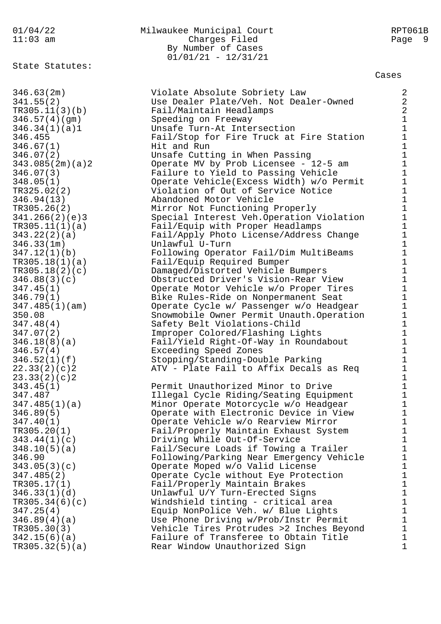State Statutes:

### 01/04/22 Milwaukee Municipal Court RPT061B 11:03 am Charges Filed Page 9 By Number of Cases 01/01/21 - 12/31/21

Cases

346.63(2m) Violate Absolute Sobriety Law 2 341.55(2) Use Dealer Plate/Veh. Not Dealer-Owned 2 TR305.11(3)(b) Fail/Maintain Headlamps 2 346.57(4)(gm) Speeding on Freeway 1 346.34(1)(a)1 Unsafe Turn-At Intersection 1 346.455 Fail/Stop for Fire Truck at Fire Station 1 346.67(1) Hit and Run 1 346.07(2) Unsafe Cutting in When Passing 1 343.085(2m)(a)2 Operate MV by Prob Licensee - 12-5 am 1 346.07(3) Failure to Yield to Passing Vehicle 1 348.05(1) Operate Vehicle(Excess Width) w/o Permit 1 TR325.02(2) Violation of Out of Service Notice 1 346.94(13) Abandoned Motor Vehicle 1 TR305.26(2) Mirror Not Functioning Properly 1 341.266(2)(e)3 Special Interest Veh.Operation Violation 1 TR305.11(1)(a) Fail/Equip with Proper Headlamps 1 343.22(2)(a) Fail/Apply Photo License/Address Change 1 346.33(1m) Unlawful U-Turn 1 347.12(1)(b) Following Operator Fail/Dim MultiBeams 1 TR305.18(1)(a) Fail/Equip Required Bumper 1 TR305.18(2)(c) Damaged/Distorted Vehicle Bumpers 1 346.88(3)(c) Obstructed Driver's Vision-Rear View 1 347.45(1) Operate Motor Vehicle w/o Proper Tires 1 346.79(1) Bike Rules-Ride on Nonpermanent Seat 1 347.485(1)(am) Operate Cycle w/ Passenger w/o Headgear 1 350.08 Snowmobile Owner Permit Unauth.Operation 1 347.48(4) Safety Belt Violations-Child 1 347.07(2) Improper Colored/Flashing Lights 1 346.18(8)(a) Fail/Yield Right-Of-Way in Roundabout 1 346.57(4) Exceeding Speed Zones 1 346.52(1)(f) Stopping/Standing-Double Parking 1 22.33(2)(c)2 ATV - Plate Fail to Affix Decals as Req 1 23.33(2)(c)2 1 343.45(1) Permit Unauthorized Minor to Drive 1 347.487 Illegal Cycle Riding/Seating Equipment 1 347.485(1)(a) Minor Operate Motorcycle w/o Headgear 1 346.89(5) Operate with Electronic Device in View 1 347.40(1) Operate Vehicle w/o Rearview Mirror 1 TR305.20(1) Fail/Properly Maintain Exhaust System 1 343.44(1)(c) Driving While Out-Of-Service 1 348.10(5)(a) Fail/Secure Loads if Towing a Trailer 1 346.90 Following/Parking Near Emergency Vehicle 1 343.05(3)(c) Operate Moped w/o Valid License 1 347.485(2) Operate Cycle without Eye Protection 1 TR305.17(1) Fail/Properly Maintain Brakes 1 346.33(1)(d) Unlawful U/Y Turn-Erected Signs 1 TR305.34(6)(c) Windshield tinting - critical area 1 347.25(4) Equip NonPolice Veh. w/ Blue Lights 1 346.89(4)(a) Use Phone Driving w/Prob/Instr Permit 1 TR305.30(3) Vehicle Tires Protrudes >2 Inches Beyond 1 342.15(6)(a) Failure of Transferee to Obtain Title 1 TR305.32(5)(a) Rear Window Unauthorized Sign 1